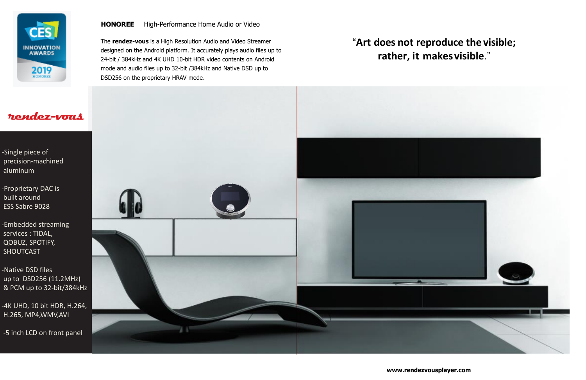-Single piece of precision-machined aluminum

-Proprietary DAC is built around ESS Sabre 9028

-Embedded streaming services : TIDAL, QOBUZ, SPOTIFY, SHOUTCAST

-Native DSD files up to DSD256 (11.2MHz) & PCM up to 32-bit/384kHz

-4K UHD, 10 bit HDR, H.264, H.265, MP4,WMV,AVI

-5 inch LCD on front panel



## **rendez-vous**

#### **HONOREE** High-Performance Home Audio or Video

The **rendez-vous** is a High Resolution Audio and Video Streamer designed on the Android platform. It accurately plays audio files up to 24-bit / 384kHz and 4K UHD 10-bit HDR video contents on Android mode and audio flies up to 32-bit /384kHz and Native DSD up to DSD256 on the proprietary HRAV mode.

# "**Art does not reproduce the visible; rather, it makesvisible**."



**www.rendezvousplayer.com**